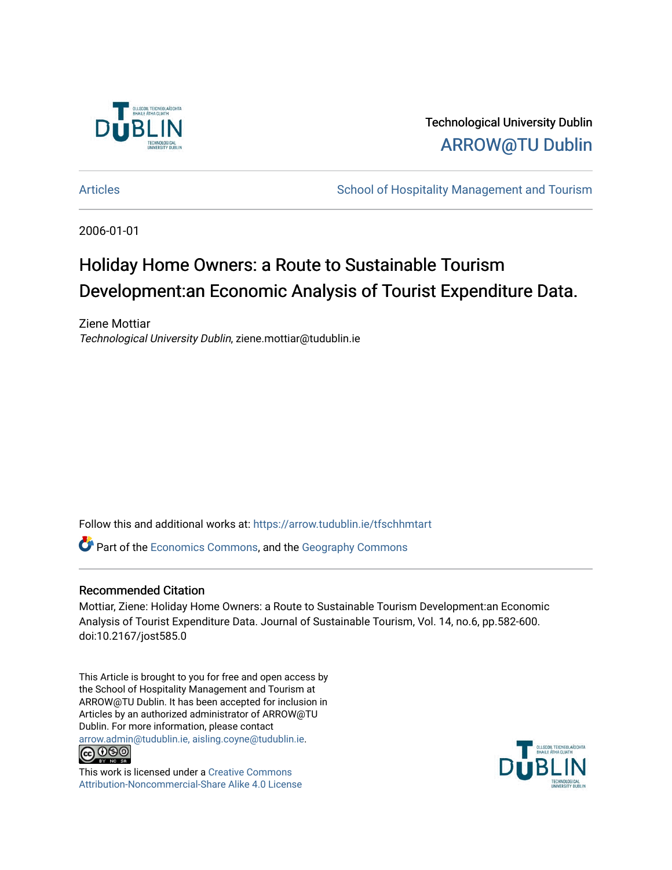

Technological University Dublin [ARROW@TU Dublin](https://arrow.tudublin.ie/) 

[Articles](https://arrow.tudublin.ie/tfschhmtart) **School of Hospitality Management and Tourism** 

2006-01-01

# Holiday Home Owners: a Route to Sustainable Tourism Development:an Economic Analysis of Tourist Expenditure Data.

Ziene Mottiar Technological University Dublin, ziene.mottiar@tudublin.ie

Follow this and additional works at: [https://arrow.tudublin.ie/tfschhmtart](https://arrow.tudublin.ie/tfschhmtart?utm_source=arrow.tudublin.ie%2Ftfschhmtart%2F9&utm_medium=PDF&utm_campaign=PDFCoverPages) 

**C** Part of the [Economics Commons](http://network.bepress.com/hgg/discipline/340?utm_source=arrow.tudublin.ie%2Ftfschhmtart%2F9&utm_medium=PDF&utm_campaign=PDFCoverPages), and the Geography Commons

#### Recommended Citation

Mottiar, Ziene: Holiday Home Owners: a Route to Sustainable Tourism Development:an Economic Analysis of Tourist Expenditure Data. Journal of Sustainable Tourism, Vol. 14, no.6, pp.582-600. doi:10.2167/jost585.0

This Article is brought to you for free and open access by the School of Hospitality Management and Tourism at ARROW@TU Dublin. It has been accepted for inclusion in Articles by an authorized administrator of ARROW@TU Dublin. For more information, please contact [arrow.admin@tudublin.ie, aisling.coyne@tudublin.ie](mailto:arrow.admin@tudublin.ie,%20aisling.coyne@tudublin.ie).



This work is licensed under a [Creative Commons](http://creativecommons.org/licenses/by-nc-sa/4.0/) [Attribution-Noncommercial-Share Alike 4.0 License](http://creativecommons.org/licenses/by-nc-sa/4.0/)

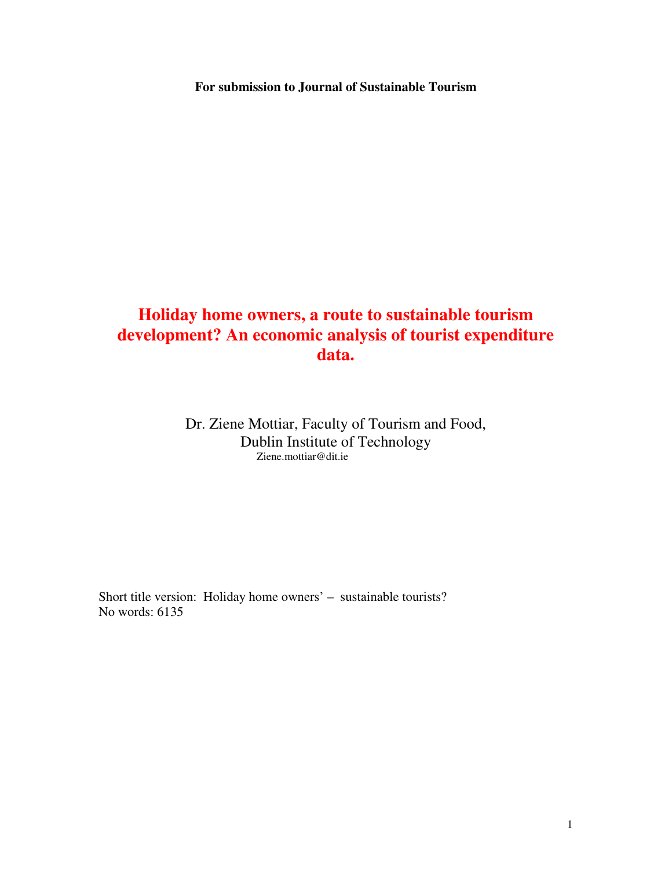**For submission to Journal of Sustainable Tourism** 

## **Holiday home owners, a route to sustainable tourism development? An economic analysis of tourist expenditure data.**

Dr. Ziene Mottiar, Faculty of Tourism and Food, Dublin Institute of Technology Ziene.mottiar@dit.ie

Short title version: Holiday home owners' – sustainable tourists? No words: 6135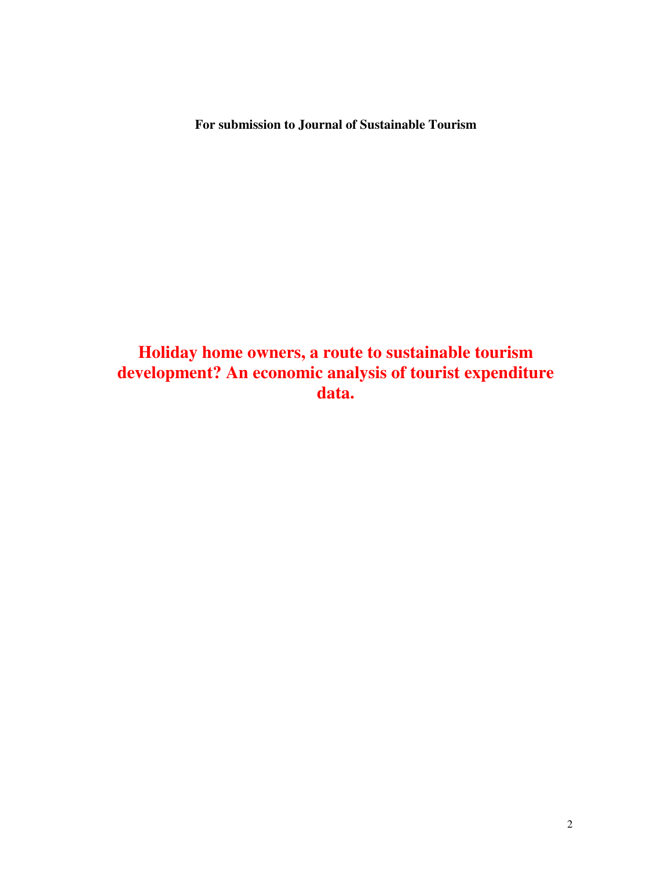**For submission to Journal of Sustainable Tourism** 

**Holiday home owners, a route to sustainable tourism development? An economic analysis of tourist expenditure data.**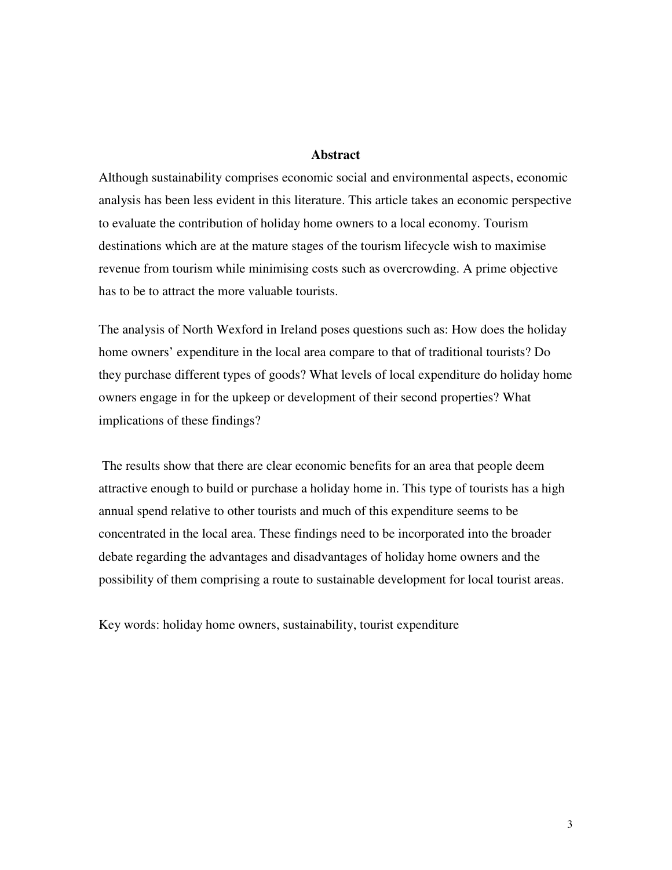#### **Abstract**

Although sustainability comprises economic social and environmental aspects, economic analysis has been less evident in this literature. This article takes an economic perspective to evaluate the contribution of holiday home owners to a local economy. Tourism destinations which are at the mature stages of the tourism lifecycle wish to maximise revenue from tourism while minimising costs such as overcrowding. A prime objective has to be to attract the more valuable tourists.

The analysis of North Wexford in Ireland poses questions such as: How does the holiday home owners' expenditure in the local area compare to that of traditional tourists? Do they purchase different types of goods? What levels of local expenditure do holiday home owners engage in for the upkeep or development of their second properties? What implications of these findings?

 The results show that there are clear economic benefits for an area that people deem attractive enough to build or purchase a holiday home in. This type of tourists has a high annual spend relative to other tourists and much of this expenditure seems to be concentrated in the local area. These findings need to be incorporated into the broader debate regarding the advantages and disadvantages of holiday home owners and the possibility of them comprising a route to sustainable development for local tourist areas.

Key words: holiday home owners, sustainability, tourist expenditure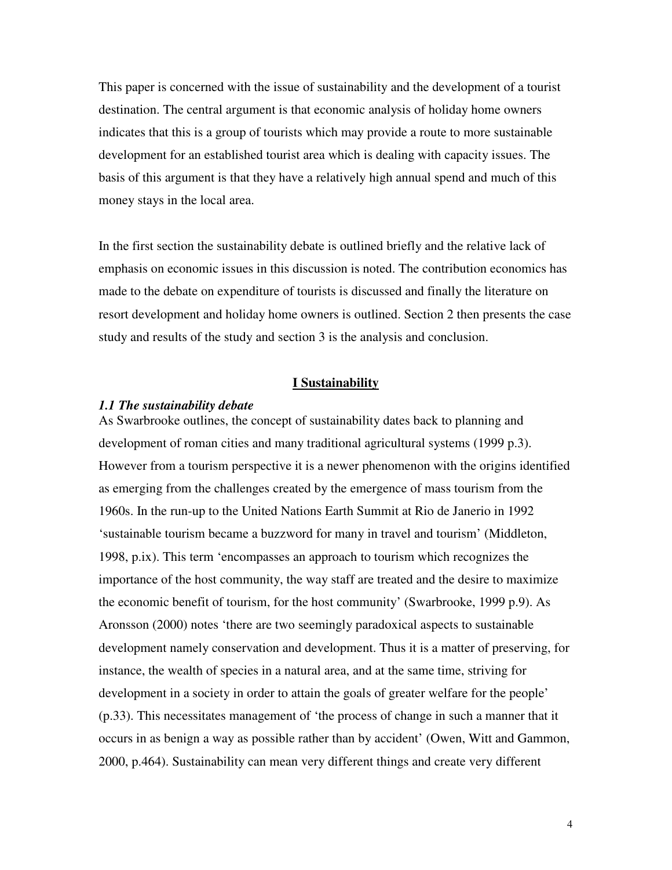This paper is concerned with the issue of sustainability and the development of a tourist destination. The central argument is that economic analysis of holiday home owners indicates that this is a group of tourists which may provide a route to more sustainable development for an established tourist area which is dealing with capacity issues. The basis of this argument is that they have a relatively high annual spend and much of this money stays in the local area.

In the first section the sustainability debate is outlined briefly and the relative lack of emphasis on economic issues in this discussion is noted. The contribution economics has made to the debate on expenditure of tourists is discussed and finally the literature on resort development and holiday home owners is outlined. Section 2 then presents the case study and results of the study and section 3 is the analysis and conclusion.

#### **I Sustainability**

#### *1.1 The sustainability debate*

As Swarbrooke outlines, the concept of sustainability dates back to planning and development of roman cities and many traditional agricultural systems (1999 p.3). However from a tourism perspective it is a newer phenomenon with the origins identified as emerging from the challenges created by the emergence of mass tourism from the 1960s. In the run-up to the United Nations Earth Summit at Rio de Janerio in 1992 'sustainable tourism became a buzzword for many in travel and tourism' (Middleton, 1998, p.ix). This term 'encompasses an approach to tourism which recognizes the importance of the host community, the way staff are treated and the desire to maximize the economic benefit of tourism, for the host community' (Swarbrooke, 1999 p.9). As Aronsson (2000) notes 'there are two seemingly paradoxical aspects to sustainable development namely conservation and development. Thus it is a matter of preserving, for instance, the wealth of species in a natural area, and at the same time, striving for development in a society in order to attain the goals of greater welfare for the people' (p.33). This necessitates management of 'the process of change in such a manner that it occurs in as benign a way as possible rather than by accident' (Owen, Witt and Gammon, 2000, p.464). Sustainability can mean very different things and create very different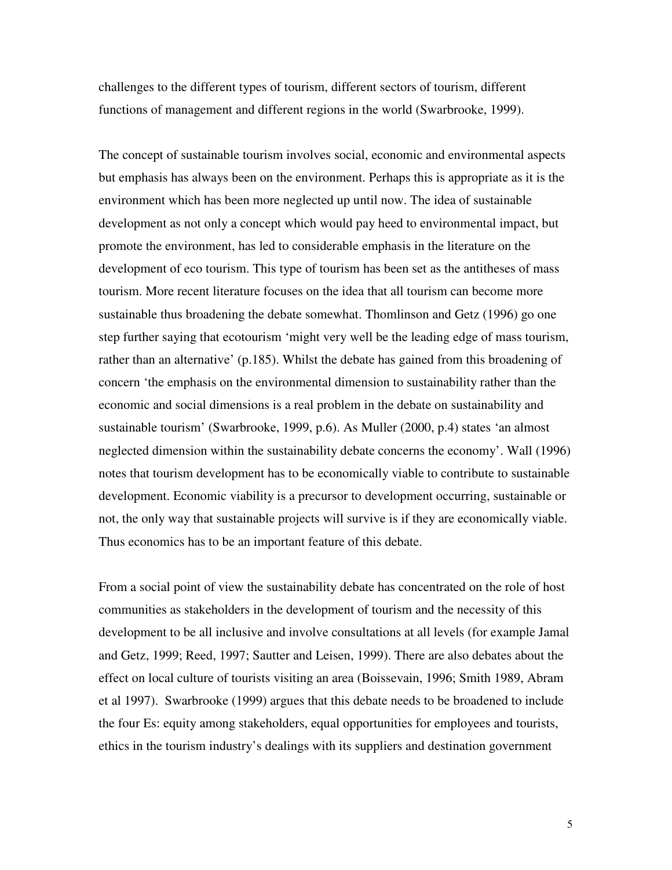challenges to the different types of tourism, different sectors of tourism, different functions of management and different regions in the world (Swarbrooke, 1999).

The concept of sustainable tourism involves social, economic and environmental aspects but emphasis has always been on the environment. Perhaps this is appropriate as it is the environment which has been more neglected up until now. The idea of sustainable development as not only a concept which would pay heed to environmental impact, but promote the environment, has led to considerable emphasis in the literature on the development of eco tourism. This type of tourism has been set as the antitheses of mass tourism. More recent literature focuses on the idea that all tourism can become more sustainable thus broadening the debate somewhat. Thomlinson and Getz (1996) go one step further saying that ecotourism 'might very well be the leading edge of mass tourism, rather than an alternative' (p.185). Whilst the debate has gained from this broadening of concern 'the emphasis on the environmental dimension to sustainability rather than the economic and social dimensions is a real problem in the debate on sustainability and sustainable tourism' (Swarbrooke, 1999, p.6). As Muller (2000, p.4) states 'an almost neglected dimension within the sustainability debate concerns the economy'. Wall (1996) notes that tourism development has to be economically viable to contribute to sustainable development. Economic viability is a precursor to development occurring, sustainable or not, the only way that sustainable projects will survive is if they are economically viable. Thus economics has to be an important feature of this debate.

From a social point of view the sustainability debate has concentrated on the role of host communities as stakeholders in the development of tourism and the necessity of this development to be all inclusive and involve consultations at all levels (for example Jamal and Getz, 1999; Reed, 1997; Sautter and Leisen, 1999). There are also debates about the effect on local culture of tourists visiting an area (Boissevain, 1996; Smith 1989, Abram et al 1997). Swarbrooke (1999) argues that this debate needs to be broadened to include the four Es: equity among stakeholders, equal opportunities for employees and tourists, ethics in the tourism industry's dealings with its suppliers and destination government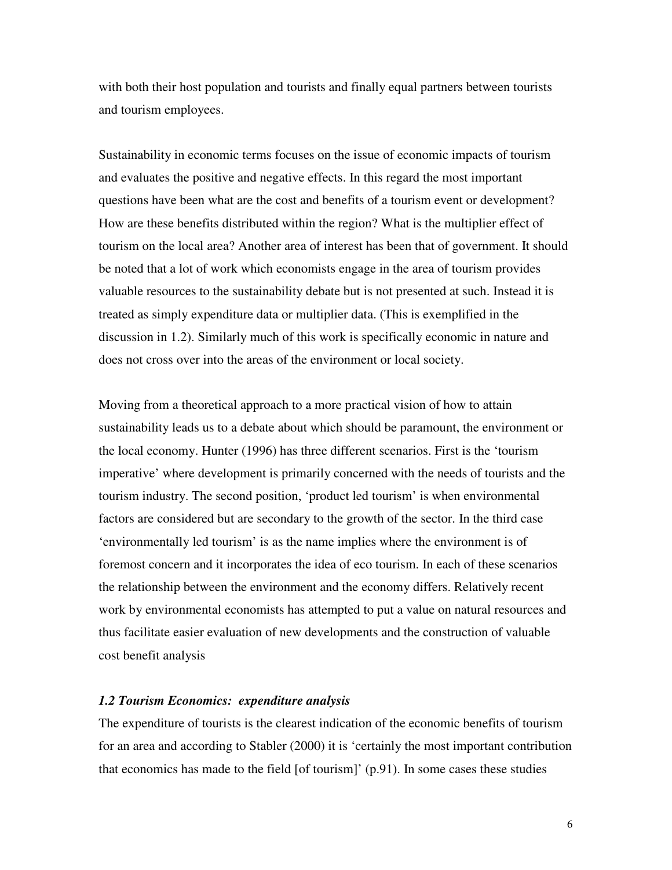with both their host population and tourists and finally equal partners between tourists and tourism employees.

Sustainability in economic terms focuses on the issue of economic impacts of tourism and evaluates the positive and negative effects. In this regard the most important questions have been what are the cost and benefits of a tourism event or development? How are these benefits distributed within the region? What is the multiplier effect of tourism on the local area? Another area of interest has been that of government. It should be noted that a lot of work which economists engage in the area of tourism provides valuable resources to the sustainability debate but is not presented at such. Instead it is treated as simply expenditure data or multiplier data. (This is exemplified in the discussion in 1.2). Similarly much of this work is specifically economic in nature and does not cross over into the areas of the environment or local society.

Moving from a theoretical approach to a more practical vision of how to attain sustainability leads us to a debate about which should be paramount, the environment or the local economy. Hunter (1996) has three different scenarios. First is the 'tourism imperative' where development is primarily concerned with the needs of tourists and the tourism industry. The second position, 'product led tourism' is when environmental factors are considered but are secondary to the growth of the sector. In the third case 'environmentally led tourism' is as the name implies where the environment is of foremost concern and it incorporates the idea of eco tourism. In each of these scenarios the relationship between the environment and the economy differs. Relatively recent work by environmental economists has attempted to put a value on natural resources and thus facilitate easier evaluation of new developments and the construction of valuable cost benefit analysis

### *1.2 Tourism Economics: expenditure analysis*

The expenditure of tourists is the clearest indication of the economic benefits of tourism for an area and according to Stabler (2000) it is 'certainly the most important contribution that economics has made to the field  $[of$  tourism $]'$  (p.91). In some cases these studies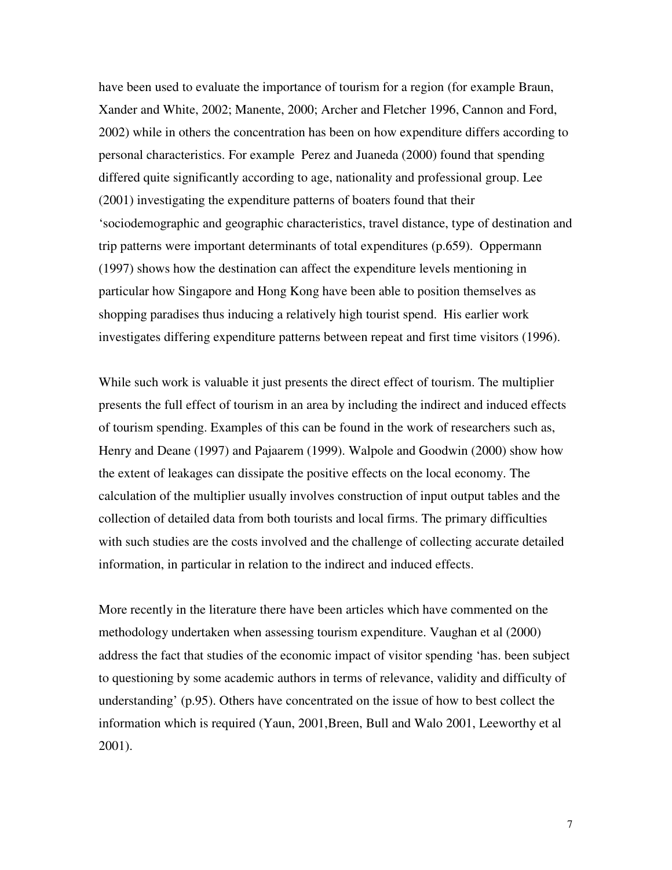have been used to evaluate the importance of tourism for a region (for example Braun, Xander and White, 2002; Manente, 2000; Archer and Fletcher 1996, Cannon and Ford, 2002) while in others the concentration has been on how expenditure differs according to personal characteristics. For example Perez and Juaneda (2000) found that spending differed quite significantly according to age, nationality and professional group. Lee (2001) investigating the expenditure patterns of boaters found that their 'sociodemographic and geographic characteristics, travel distance, type of destination and trip patterns were important determinants of total expenditures (p.659). Oppermann (1997) shows how the destination can affect the expenditure levels mentioning in particular how Singapore and Hong Kong have been able to position themselves as shopping paradises thus inducing a relatively high tourist spend. His earlier work investigates differing expenditure patterns between repeat and first time visitors (1996).

While such work is valuable it just presents the direct effect of tourism. The multiplier presents the full effect of tourism in an area by including the indirect and induced effects of tourism spending. Examples of this can be found in the work of researchers such as, Henry and Deane (1997) and Pajaarem (1999). Walpole and Goodwin (2000) show how the extent of leakages can dissipate the positive effects on the local economy. The calculation of the multiplier usually involves construction of input output tables and the collection of detailed data from both tourists and local firms. The primary difficulties with such studies are the costs involved and the challenge of collecting accurate detailed information, in particular in relation to the indirect and induced effects.

More recently in the literature there have been articles which have commented on the methodology undertaken when assessing tourism expenditure. Vaughan et al (2000) address the fact that studies of the economic impact of visitor spending 'has. been subject to questioning by some academic authors in terms of relevance, validity and difficulty of understanding' (p.95). Others have concentrated on the issue of how to best collect the information which is required (Yaun, 2001,Breen, Bull and Walo 2001, Leeworthy et al 2001).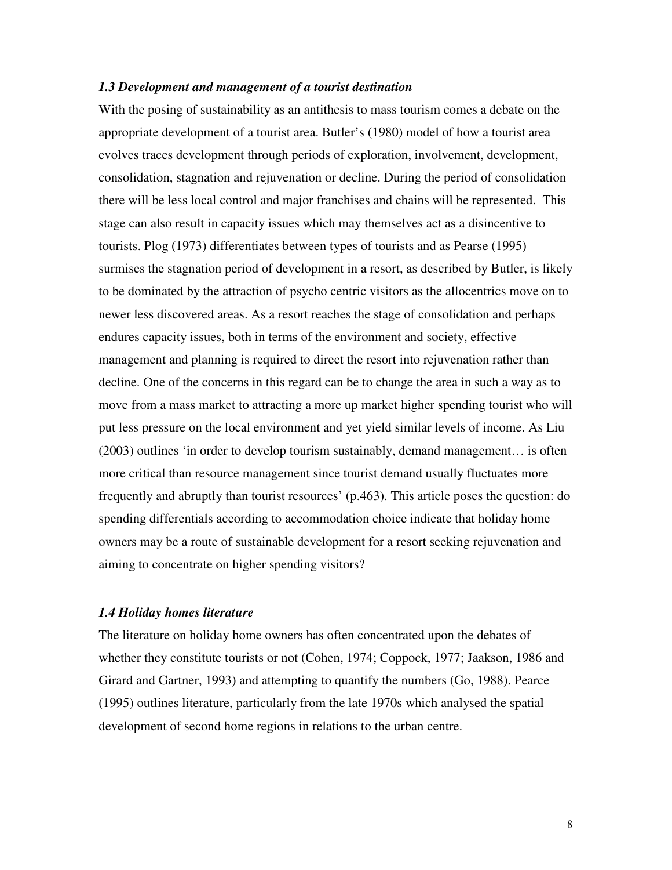#### *1.3 Development and management of a tourist destination*

With the posing of sustainability as an antithesis to mass tourism comes a debate on the appropriate development of a tourist area. Butler's (1980) model of how a tourist area evolves traces development through periods of exploration, involvement, development, consolidation, stagnation and rejuvenation or decline. During the period of consolidation there will be less local control and major franchises and chains will be represented. This stage can also result in capacity issues which may themselves act as a disincentive to tourists. Plog (1973) differentiates between types of tourists and as Pearse (1995) surmises the stagnation period of development in a resort, as described by Butler, is likely to be dominated by the attraction of psycho centric visitors as the allocentrics move on to newer less discovered areas. As a resort reaches the stage of consolidation and perhaps endures capacity issues, both in terms of the environment and society, effective management and planning is required to direct the resort into rejuvenation rather than decline. One of the concerns in this regard can be to change the area in such a way as to move from a mass market to attracting a more up market higher spending tourist who will put less pressure on the local environment and yet yield similar levels of income. As Liu (2003) outlines 'in order to develop tourism sustainably, demand management… is often more critical than resource management since tourist demand usually fluctuates more frequently and abruptly than tourist resources' (p.463). This article poses the question: do spending differentials according to accommodation choice indicate that holiday home owners may be a route of sustainable development for a resort seeking rejuvenation and aiming to concentrate on higher spending visitors?

#### *1.4 Holiday homes literature*

The literature on holiday home owners has often concentrated upon the debates of whether they constitute tourists or not (Cohen, 1974; Coppock, 1977; Jaakson, 1986 and Girard and Gartner, 1993) and attempting to quantify the numbers (Go, 1988). Pearce (1995) outlines literature, particularly from the late 1970s which analysed the spatial development of second home regions in relations to the urban centre.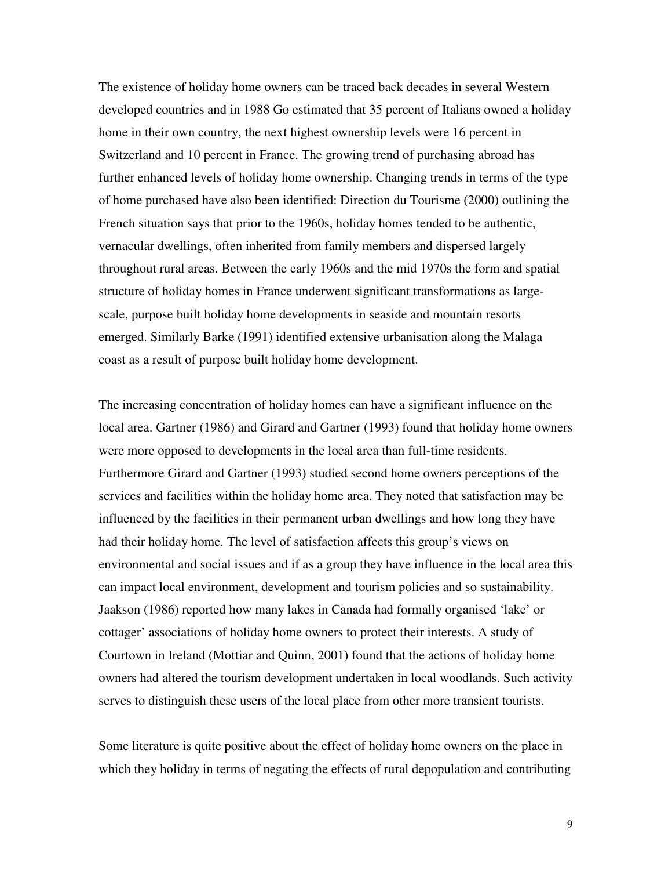The existence of holiday home owners can be traced back decades in several Western developed countries and in 1988 Go estimated that 35 percent of Italians owned a holiday home in their own country, the next highest ownership levels were 16 percent in Switzerland and 10 percent in France. The growing trend of purchasing abroad has further enhanced levels of holiday home ownership. Changing trends in terms of the type of home purchased have also been identified: Direction du Tourisme (2000) outlining the French situation says that prior to the 1960s, holiday homes tended to be authentic, vernacular dwellings, often inherited from family members and dispersed largely throughout rural areas. Between the early 1960s and the mid 1970s the form and spatial structure of holiday homes in France underwent significant transformations as largescale, purpose built holiday home developments in seaside and mountain resorts emerged. Similarly Barke (1991) identified extensive urbanisation along the Malaga coast as a result of purpose built holiday home development.

The increasing concentration of holiday homes can have a significant influence on the local area. Gartner (1986) and Girard and Gartner (1993) found that holiday home owners were more opposed to developments in the local area than full-time residents. Furthermore Girard and Gartner (1993) studied second home owners perceptions of the services and facilities within the holiday home area. They noted that satisfaction may be influenced by the facilities in their permanent urban dwellings and how long they have had their holiday home. The level of satisfaction affects this group's views on environmental and social issues and if as a group they have influence in the local area this can impact local environment, development and tourism policies and so sustainability. Jaakson (1986) reported how many lakes in Canada had formally organised 'lake' or cottager' associations of holiday home owners to protect their interests. A study of Courtown in Ireland (Mottiar and Quinn, 2001) found that the actions of holiday home owners had altered the tourism development undertaken in local woodlands. Such activity serves to distinguish these users of the local place from other more transient tourists.

Some literature is quite positive about the effect of holiday home owners on the place in which they holiday in terms of negating the effects of rural depopulation and contributing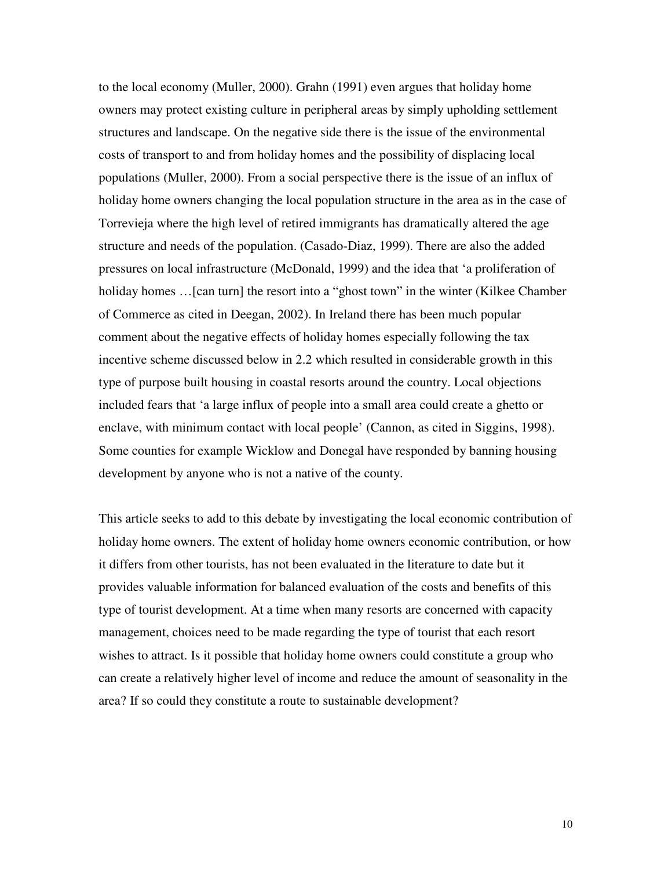to the local economy (Muller, 2000). Grahn (1991) even argues that holiday home owners may protect existing culture in peripheral areas by simply upholding settlement structures and landscape. On the negative side there is the issue of the environmental costs of transport to and from holiday homes and the possibility of displacing local populations (Muller, 2000). From a social perspective there is the issue of an influx of holiday home owners changing the local population structure in the area as in the case of Torrevieja where the high level of retired immigrants has dramatically altered the age structure and needs of the population. (Casado-Diaz, 1999). There are also the added pressures on local infrastructure (McDonald, 1999) and the idea that 'a proliferation of holiday homes ... [can turn] the resort into a "ghost town" in the winter (Kilkee Chamber of Commerce as cited in Deegan, 2002). In Ireland there has been much popular comment about the negative effects of holiday homes especially following the tax incentive scheme discussed below in 2.2 which resulted in considerable growth in this type of purpose built housing in coastal resorts around the country. Local objections included fears that 'a large influx of people into a small area could create a ghetto or enclave, with minimum contact with local people' (Cannon, as cited in Siggins, 1998). Some counties for example Wicklow and Donegal have responded by banning housing development by anyone who is not a native of the county.

This article seeks to add to this debate by investigating the local economic contribution of holiday home owners. The extent of holiday home owners economic contribution, or how it differs from other tourists, has not been evaluated in the literature to date but it provides valuable information for balanced evaluation of the costs and benefits of this type of tourist development. At a time when many resorts are concerned with capacity management, choices need to be made regarding the type of tourist that each resort wishes to attract. Is it possible that holiday home owners could constitute a group who can create a relatively higher level of income and reduce the amount of seasonality in the area? If so could they constitute a route to sustainable development?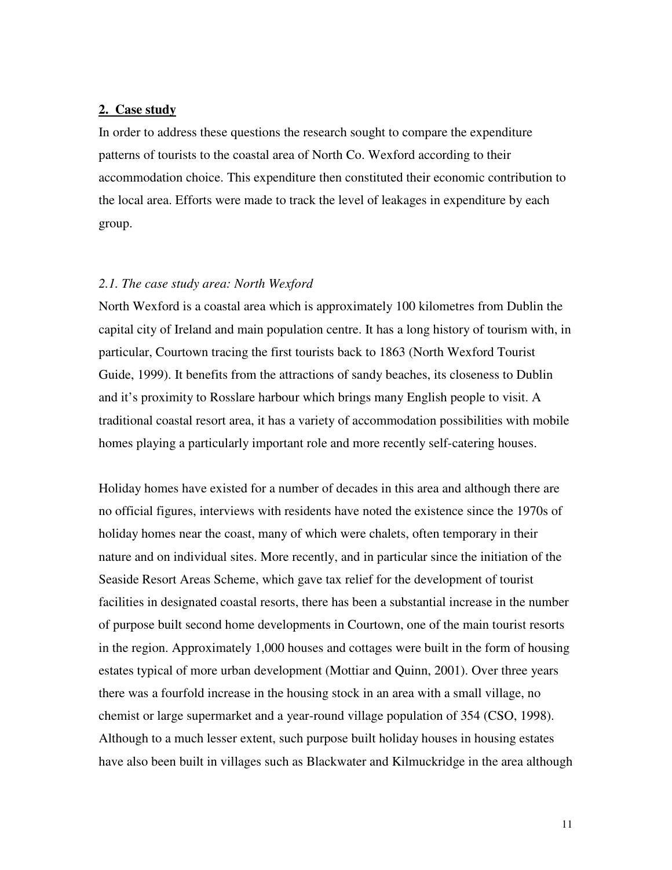#### **2. Case study**

In order to address these questions the research sought to compare the expenditure patterns of tourists to the coastal area of North Co. Wexford according to their accommodation choice. This expenditure then constituted their economic contribution to the local area. Efforts were made to track the level of leakages in expenditure by each group.

#### *2.1. The case study area: North Wexford*

North Wexford is a coastal area which is approximately 100 kilometres from Dublin the capital city of Ireland and main population centre. It has a long history of tourism with, in particular, Courtown tracing the first tourists back to 1863 (North Wexford Tourist Guide, 1999). It benefits from the attractions of sandy beaches, its closeness to Dublin and it's proximity to Rosslare harbour which brings many English people to visit. A traditional coastal resort area, it has a variety of accommodation possibilities with mobile homes playing a particularly important role and more recently self-catering houses.

Holiday homes have existed for a number of decades in this area and although there are no official figures, interviews with residents have noted the existence since the 1970s of holiday homes near the coast, many of which were chalets, often temporary in their nature and on individual sites. More recently, and in particular since the initiation of the Seaside Resort Areas Scheme, which gave tax relief for the development of tourist facilities in designated coastal resorts, there has been a substantial increase in the number of purpose built second home developments in Courtown, one of the main tourist resorts in the region. Approximately 1,000 houses and cottages were built in the form of housing estates typical of more urban development (Mottiar and Quinn, 2001). Over three years there was a fourfold increase in the housing stock in an area with a small village, no chemist or large supermarket and a year-round village population of 354 (CSO, 1998). Although to a much lesser extent, such purpose built holiday houses in housing estates have also been built in villages such as Blackwater and Kilmuckridge in the area although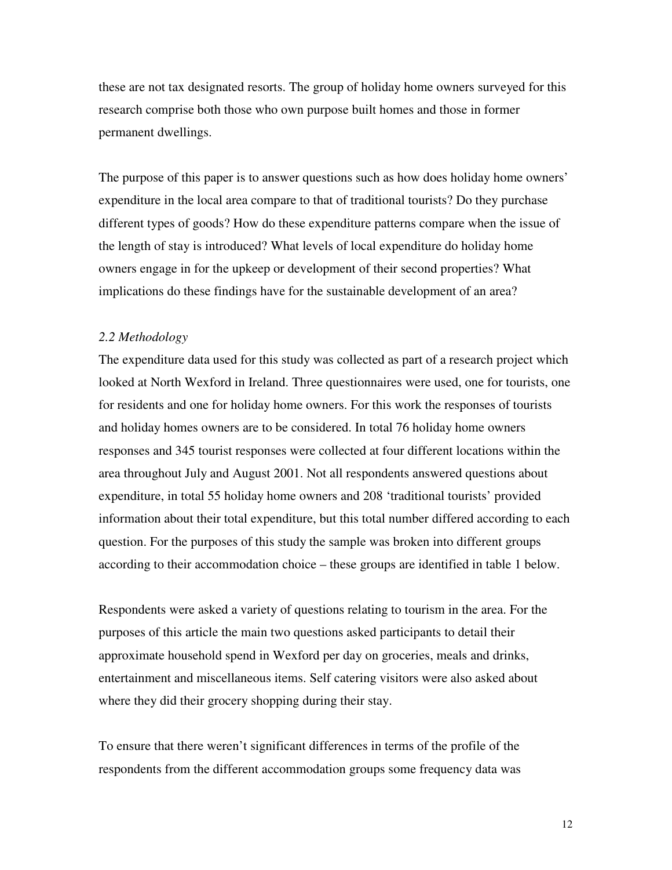these are not tax designated resorts. The group of holiday home owners surveyed for this research comprise both those who own purpose built homes and those in former permanent dwellings.

The purpose of this paper is to answer questions such as how does holiday home owners' expenditure in the local area compare to that of traditional tourists? Do they purchase different types of goods? How do these expenditure patterns compare when the issue of the length of stay is introduced? What levels of local expenditure do holiday home owners engage in for the upkeep or development of their second properties? What implications do these findings have for the sustainable development of an area?

#### *2.2 Methodology*

The expenditure data used for this study was collected as part of a research project which looked at North Wexford in Ireland. Three questionnaires were used, one for tourists, one for residents and one for holiday home owners. For this work the responses of tourists and holiday homes owners are to be considered. In total 76 holiday home owners responses and 345 tourist responses were collected at four different locations within the area throughout July and August 2001. Not all respondents answered questions about expenditure, in total 55 holiday home owners and 208 'traditional tourists' provided information about their total expenditure, but this total number differed according to each question. For the purposes of this study the sample was broken into different groups according to their accommodation choice – these groups are identified in table 1 below.

Respondents were asked a variety of questions relating to tourism in the area. For the purposes of this article the main two questions asked participants to detail their approximate household spend in Wexford per day on groceries, meals and drinks, entertainment and miscellaneous items. Self catering visitors were also asked about where they did their grocery shopping during their stay.

To ensure that there weren't significant differences in terms of the profile of the respondents from the different accommodation groups some frequency data was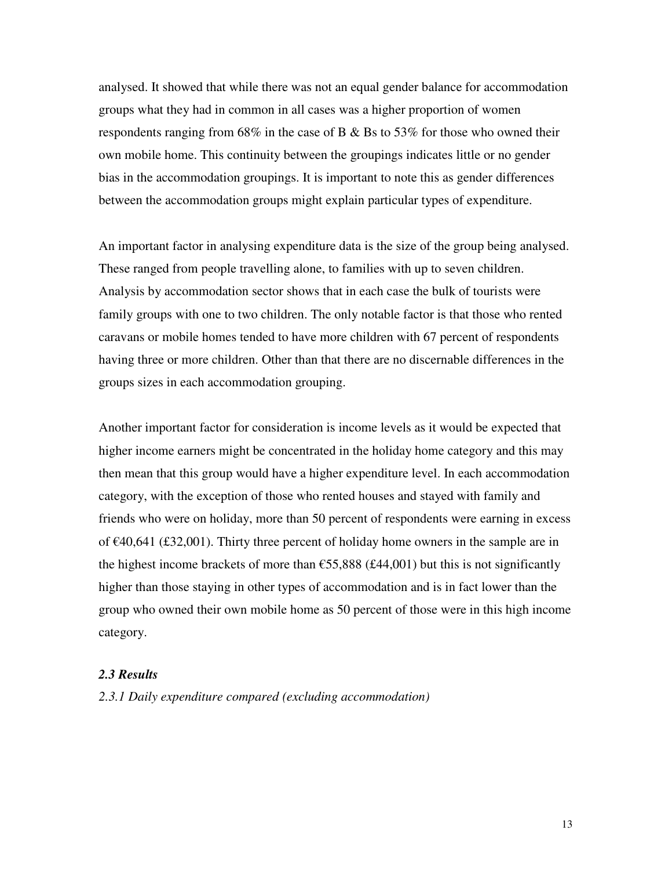analysed. It showed that while there was not an equal gender balance for accommodation groups what they had in common in all cases was a higher proportion of women respondents ranging from 68% in the case of B & Bs to 53% for those who owned their own mobile home. This continuity between the groupings indicates little or no gender bias in the accommodation groupings. It is important to note this as gender differences between the accommodation groups might explain particular types of expenditure.

An important factor in analysing expenditure data is the size of the group being analysed. These ranged from people travelling alone, to families with up to seven children. Analysis by accommodation sector shows that in each case the bulk of tourists were family groups with one to two children. The only notable factor is that those who rented caravans or mobile homes tended to have more children with 67 percent of respondents having three or more children. Other than that there are no discernable differences in the groups sizes in each accommodation grouping.

Another important factor for consideration is income levels as it would be expected that higher income earners might be concentrated in the holiday home category and this may then mean that this group would have a higher expenditure level. In each accommodation category, with the exception of those who rented houses and stayed with family and friends who were on holiday, more than 50 percent of respondents were earning in excess of €40,641 (£32,001). Thirty three percent of holiday home owners in the sample are in the highest income brackets of more than  $\epsilon$ 55,888 (£44,001) but this is not significantly higher than those staying in other types of accommodation and is in fact lower than the group who owned their own mobile home as 50 percent of those were in this high income category.

#### *2.3 Results*

*2.3.1 Daily expenditure compared (excluding accommodation)*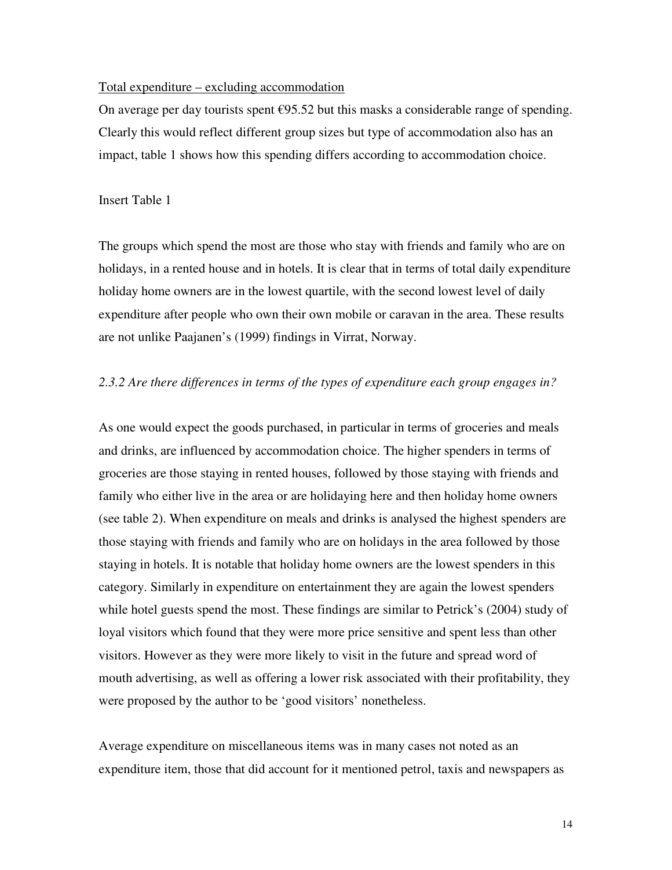#### Total expenditure – excluding accommodation

On average per day tourists spent  $\epsilon$ 95.52 but this masks a considerable range of spending. Clearly this would reflect different group sizes but type of accommodation also has an impact, table 1 shows how this spending differs according to accommodation choice.

#### Insert Table 1

The groups which spend the most are those who stay with friends and family who are on holidays, in a rented house and in hotels. It is clear that in terms of total daily expenditure holiday home owners are in the lowest quartile, with the second lowest level of daily expenditure after people who own their own mobile or caravan in the area. These results are not unlike Paajanen's (1999) findings in Virrat, Norway.

#### *2.3.2 Are there differences in terms of the types of expenditure each group engages in?*

As one would expect the goods purchased, in particular in terms of groceries and meals and drinks, are influenced by accommodation choice. The higher spenders in terms of groceries are those staying in rented houses, followed by those staying with friends and family who either live in the area or are holidaying here and then holiday home owners (see table 2). When expenditure on meals and drinks is analysed the highest spenders are those staying with friends and family who are on holidays in the area followed by those staying in hotels. It is notable that holiday home owners are the lowest spenders in this category. Similarly in expenditure on entertainment they are again the lowest spenders while hotel guests spend the most. These findings are similar to Petrick's (2004) study of loyal visitors which found that they were more price sensitive and spent less than other visitors. However as they were more likely to visit in the future and spread word of mouth advertising, as well as offering a lower risk associated with their profitability, they were proposed by the author to be 'good visitors' nonetheless.

Average expenditure on miscellaneous items was in many cases not noted as an expenditure item, those that did account for it mentioned petrol, taxis and newspapers as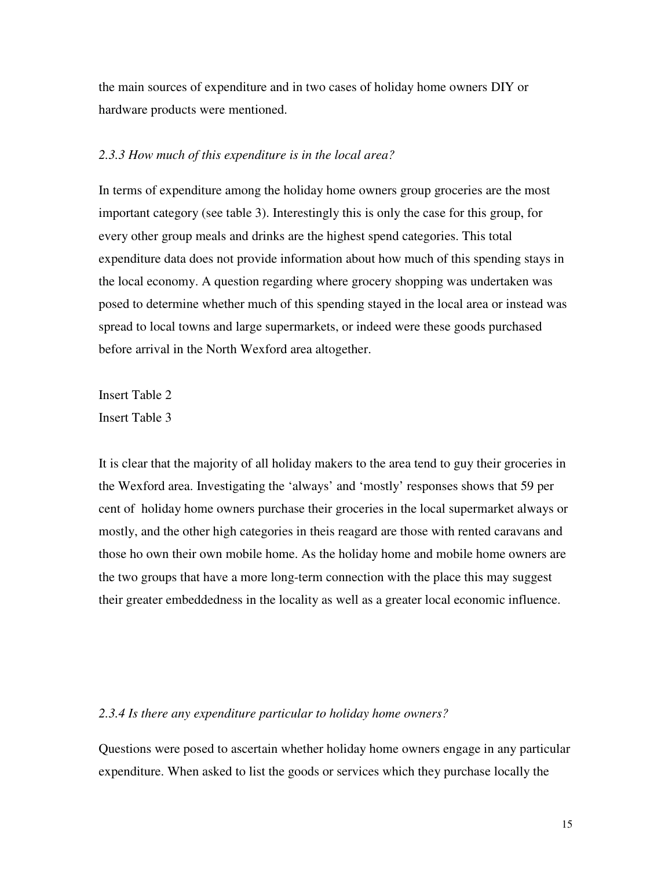the main sources of expenditure and in two cases of holiday home owners DIY or hardware products were mentioned.

#### *2.3.3 How much of this expenditure is in the local area?*

In terms of expenditure among the holiday home owners group groceries are the most important category (see table 3). Interestingly this is only the case for this group, for every other group meals and drinks are the highest spend categories. This total expenditure data does not provide information about how much of this spending stays in the local economy. A question regarding where grocery shopping was undertaken was posed to determine whether much of this spending stayed in the local area or instead was spread to local towns and large supermarkets, or indeed were these goods purchased before arrival in the North Wexford area altogether.

Insert Table 2 Insert Table 3

It is clear that the majority of all holiday makers to the area tend to guy their groceries in the Wexford area. Investigating the 'always' and 'mostly' responses shows that 59 per cent of holiday home owners purchase their groceries in the local supermarket always or mostly, and the other high categories in theis reagard are those with rented caravans and those ho own their own mobile home. As the holiday home and mobile home owners are the two groups that have a more long-term connection with the place this may suggest their greater embeddedness in the locality as well as a greater local economic influence.

#### *2.3.4 Is there any expenditure particular to holiday home owners?*

Questions were posed to ascertain whether holiday home owners engage in any particular expenditure. When asked to list the goods or services which they purchase locally the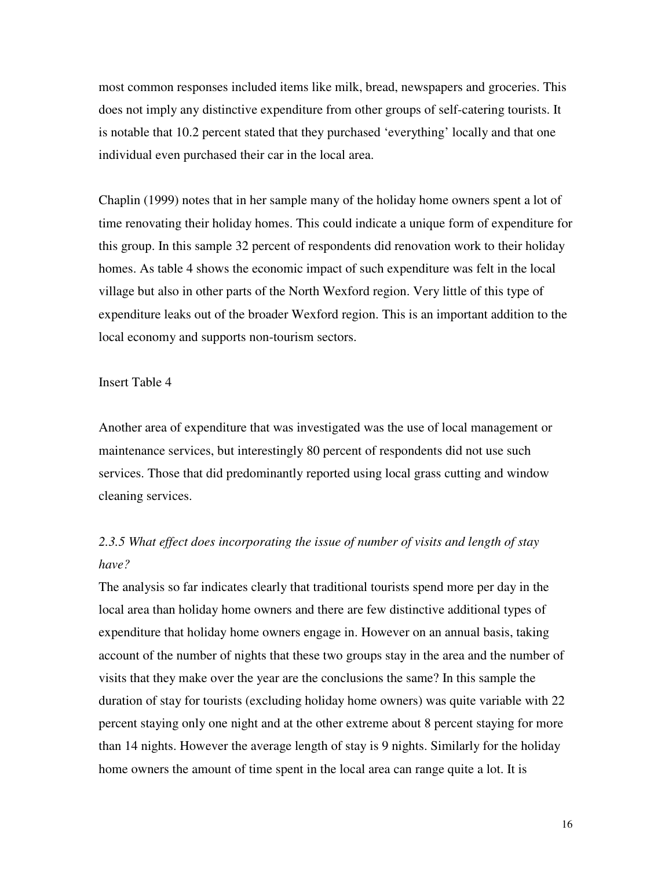most common responses included items like milk, bread, newspapers and groceries. This does not imply any distinctive expenditure from other groups of self-catering tourists. It is notable that 10.2 percent stated that they purchased 'everything' locally and that one individual even purchased their car in the local area.

Chaplin (1999) notes that in her sample many of the holiday home owners spent a lot of time renovating their holiday homes. This could indicate a unique form of expenditure for this group. In this sample 32 percent of respondents did renovation work to their holiday homes. As table 4 shows the economic impact of such expenditure was felt in the local village but also in other parts of the North Wexford region. Very little of this type of expenditure leaks out of the broader Wexford region. This is an important addition to the local economy and supports non-tourism sectors.

#### Insert Table 4

Another area of expenditure that was investigated was the use of local management or maintenance services, but interestingly 80 percent of respondents did not use such services. Those that did predominantly reported using local grass cutting and window cleaning services.

## *2.3.5 What effect does incorporating the issue of number of visits and length of stay have?*

The analysis so far indicates clearly that traditional tourists spend more per day in the local area than holiday home owners and there are few distinctive additional types of expenditure that holiday home owners engage in. However on an annual basis, taking account of the number of nights that these two groups stay in the area and the number of visits that they make over the year are the conclusions the same? In this sample the duration of stay for tourists (excluding holiday home owners) was quite variable with 22 percent staying only one night and at the other extreme about 8 percent staying for more than 14 nights. However the average length of stay is 9 nights. Similarly for the holiday home owners the amount of time spent in the local area can range quite a lot. It is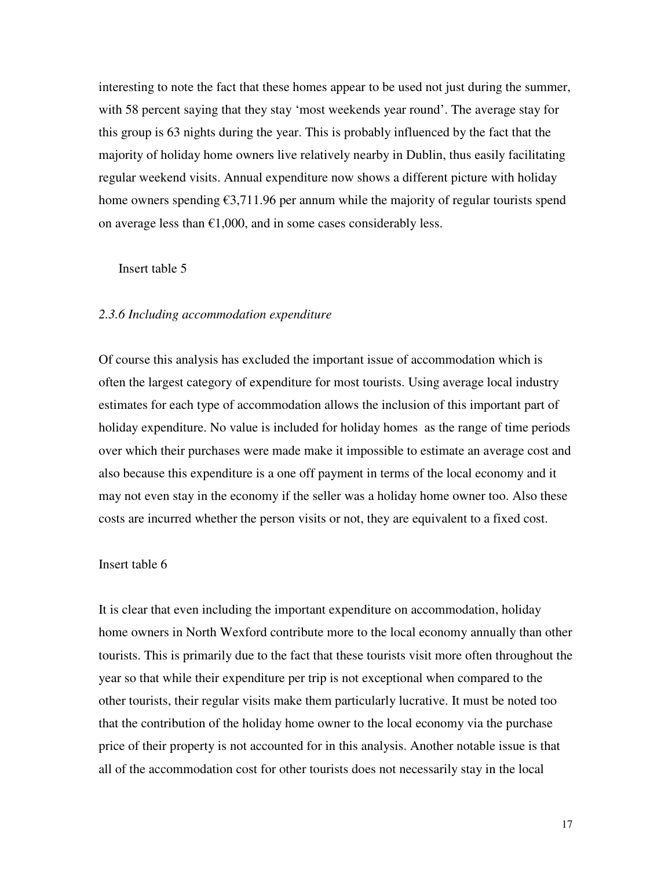interesting to note the fact that these homes appear to be used not just during the summer, with 58 percent saying that they stay 'most weekends year round'. The average stay for this group is 63 nights during the year. This is probably influenced by the fact that the majority of holiday home owners live relatively nearby in Dublin, thus easily facilitating regular weekend visits. Annual expenditure now shows a different picture with holiday home owners spending  $\epsilon$ 3,711.96 per annum while the majority of regular tourists spend on average less than  $\epsilon 1,000$ , and in some cases considerably less.

#### Insert table 5

#### *2.3.6 Including accommodation expenditure*

Of course this analysis has excluded the important issue of accommodation which is often the largest category of expenditure for most tourists. Using average local industry estimates for each type of accommodation allows the inclusion of this important part of holiday expenditure. No value is included for holiday homes as the range of time periods over which their purchases were made make it impossible to estimate an average cost and also because this expenditure is a one off payment in terms of the local economy and it may not even stay in the economy if the seller was a holiday home owner too. Also these costs are incurred whether the person visits or not, they are equivalent to a fixed cost.

#### Insert table 6

It is clear that even including the important expenditure on accommodation, holiday home owners in North Wexford contribute more to the local economy annually than other tourists. This is primarily due to the fact that these tourists visit more often throughout the year so that while their expenditure per trip is not exceptional when compared to the other tourists, their regular visits make them particularly lucrative. It must be noted too that the contribution of the holiday home owner to the local economy via the purchase price of their property is not accounted for in this analysis. Another notable issue is that all of the accommodation cost for other tourists does not necessarily stay in the local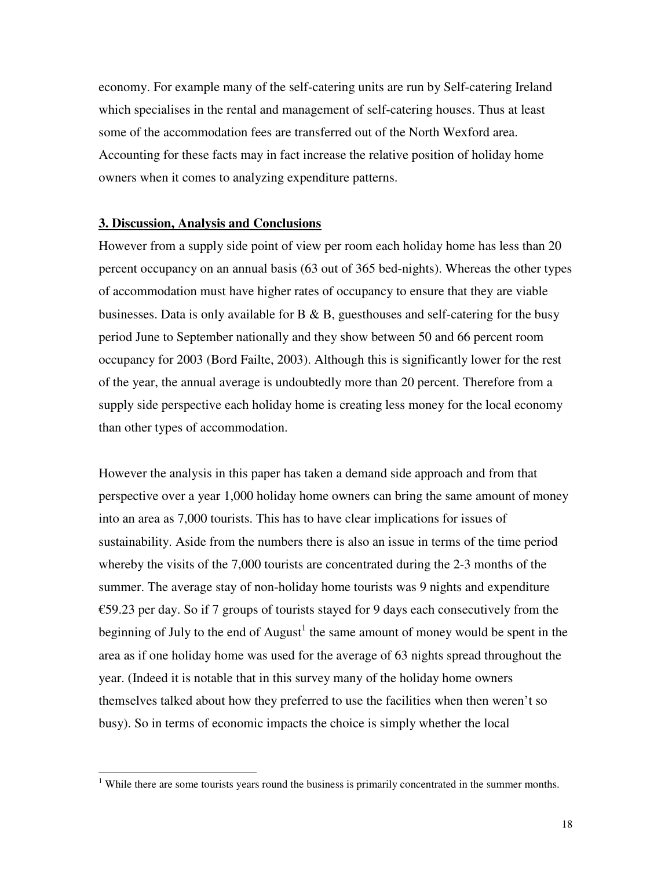economy. For example many of the self-catering units are run by Self-catering Ireland which specialises in the rental and management of self-catering houses. Thus at least some of the accommodation fees are transferred out of the North Wexford area. Accounting for these facts may in fact increase the relative position of holiday home owners when it comes to analyzing expenditure patterns.

#### **3. Discussion, Analysis and Conclusions**

 $\overline{a}$ 

However from a supply side point of view per room each holiday home has less than 20 percent occupancy on an annual basis (63 out of 365 bed-nights). Whereas the other types of accommodation must have higher rates of occupancy to ensure that they are viable businesses. Data is only available for  $B \& B$ , guesthouses and self-catering for the busy period June to September nationally and they show between 50 and 66 percent room occupancy for 2003 (Bord Failte, 2003). Although this is significantly lower for the rest of the year, the annual average is undoubtedly more than 20 percent. Therefore from a supply side perspective each holiday home is creating less money for the local economy than other types of accommodation.

However the analysis in this paper has taken a demand side approach and from that perspective over a year 1,000 holiday home owners can bring the same amount of money into an area as 7,000 tourists. This has to have clear implications for issues of sustainability. Aside from the numbers there is also an issue in terms of the time period whereby the visits of the 7,000 tourists are concentrated during the 2-3 months of the summer. The average stay of non-holiday home tourists was 9 nights and expenditure  $\epsilon$ 59.23 per day. So if 7 groups of tourists stayed for 9 days each consecutively from the beginning of July to the end of  $August<sup>1</sup>$  the same amount of money would be spent in the area as if one holiday home was used for the average of 63 nights spread throughout the year. (Indeed it is notable that in this survey many of the holiday home owners themselves talked about how they preferred to use the facilities when then weren't so busy). So in terms of economic impacts the choice is simply whether the local

<sup>&</sup>lt;sup>1</sup> While there are some tourists years round the business is primarily concentrated in the summer months.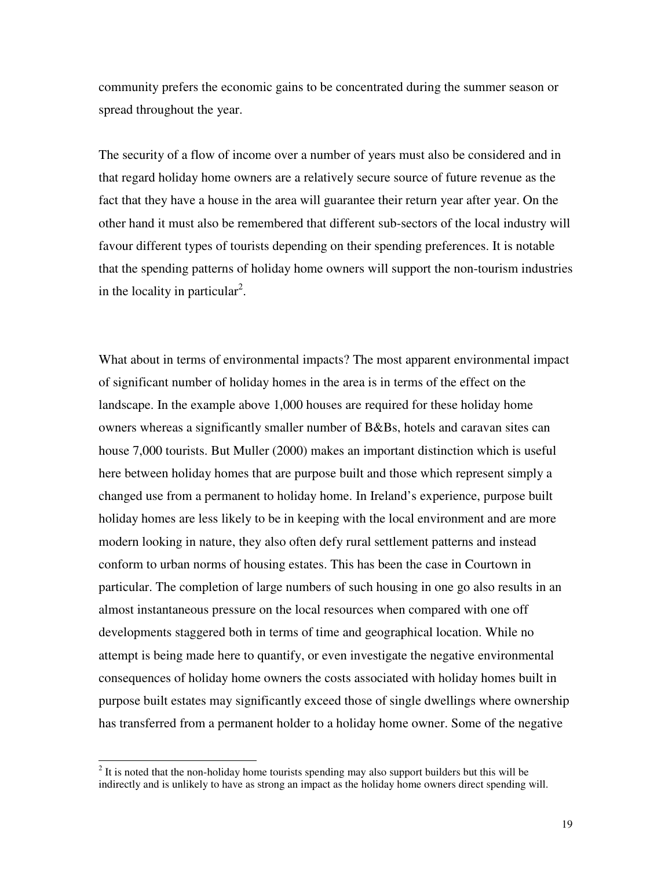community prefers the economic gains to be concentrated during the summer season or spread throughout the year.

The security of a flow of income over a number of years must also be considered and in that regard holiday home owners are a relatively secure source of future revenue as the fact that they have a house in the area will guarantee their return year after year. On the other hand it must also be remembered that different sub-sectors of the local industry will favour different types of tourists depending on their spending preferences. It is notable that the spending patterns of holiday home owners will support the non-tourism industries in the locality in particular<sup>2</sup>.

What about in terms of environmental impacts? The most apparent environmental impact of significant number of holiday homes in the area is in terms of the effect on the landscape. In the example above 1,000 houses are required for these holiday home owners whereas a significantly smaller number of B&Bs, hotels and caravan sites can house 7,000 tourists. But Muller (2000) makes an important distinction which is useful here between holiday homes that are purpose built and those which represent simply a changed use from a permanent to holiday home. In Ireland's experience, purpose built holiday homes are less likely to be in keeping with the local environment and are more modern looking in nature, they also often defy rural settlement patterns and instead conform to urban norms of housing estates. This has been the case in Courtown in particular. The completion of large numbers of such housing in one go also results in an almost instantaneous pressure on the local resources when compared with one off developments staggered both in terms of time and geographical location. While no attempt is being made here to quantify, or even investigate the negative environmental consequences of holiday home owners the costs associated with holiday homes built in purpose built estates may significantly exceed those of single dwellings where ownership has transferred from a permanent holder to a holiday home owner. Some of the negative

<sup>&</sup>lt;sup>2</sup> It is noted that the non-holiday home tourists spending may also support builders but this will be indirectly and is unlikely to have as strong an impact as the holiday home owners direct spending will.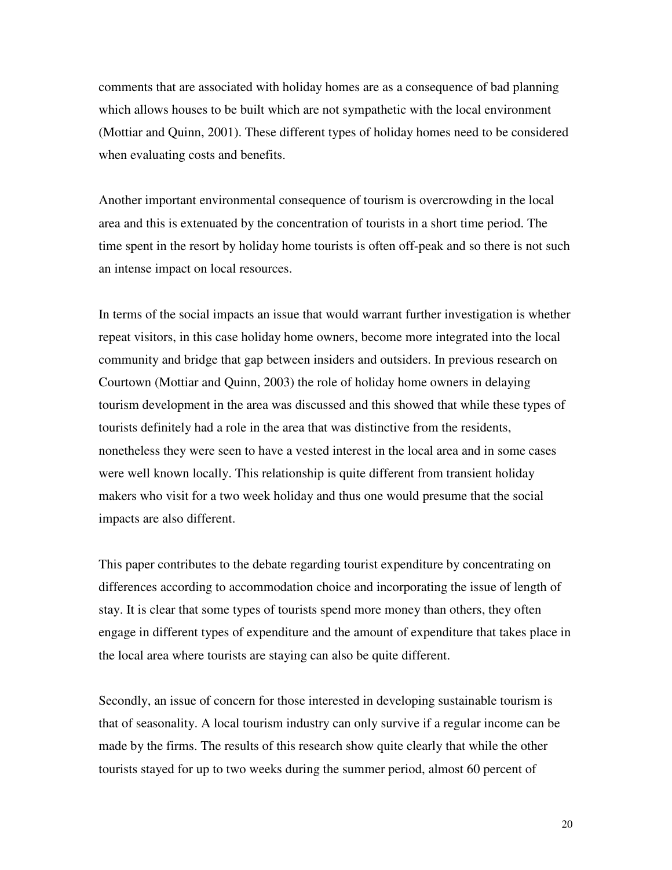comments that are associated with holiday homes are as a consequence of bad planning which allows houses to be built which are not sympathetic with the local environment (Mottiar and Quinn, 2001). These different types of holiday homes need to be considered when evaluating costs and benefits.

Another important environmental consequence of tourism is overcrowding in the local area and this is extenuated by the concentration of tourists in a short time period. The time spent in the resort by holiday home tourists is often off-peak and so there is not such an intense impact on local resources.

In terms of the social impacts an issue that would warrant further investigation is whether repeat visitors, in this case holiday home owners, become more integrated into the local community and bridge that gap between insiders and outsiders. In previous research on Courtown (Mottiar and Quinn, 2003) the role of holiday home owners in delaying tourism development in the area was discussed and this showed that while these types of tourists definitely had a role in the area that was distinctive from the residents, nonetheless they were seen to have a vested interest in the local area and in some cases were well known locally. This relationship is quite different from transient holiday makers who visit for a two week holiday and thus one would presume that the social impacts are also different.

This paper contributes to the debate regarding tourist expenditure by concentrating on differences according to accommodation choice and incorporating the issue of length of stay. It is clear that some types of tourists spend more money than others, they often engage in different types of expenditure and the amount of expenditure that takes place in the local area where tourists are staying can also be quite different.

Secondly, an issue of concern for those interested in developing sustainable tourism is that of seasonality. A local tourism industry can only survive if a regular income can be made by the firms. The results of this research show quite clearly that while the other tourists stayed for up to two weeks during the summer period, almost 60 percent of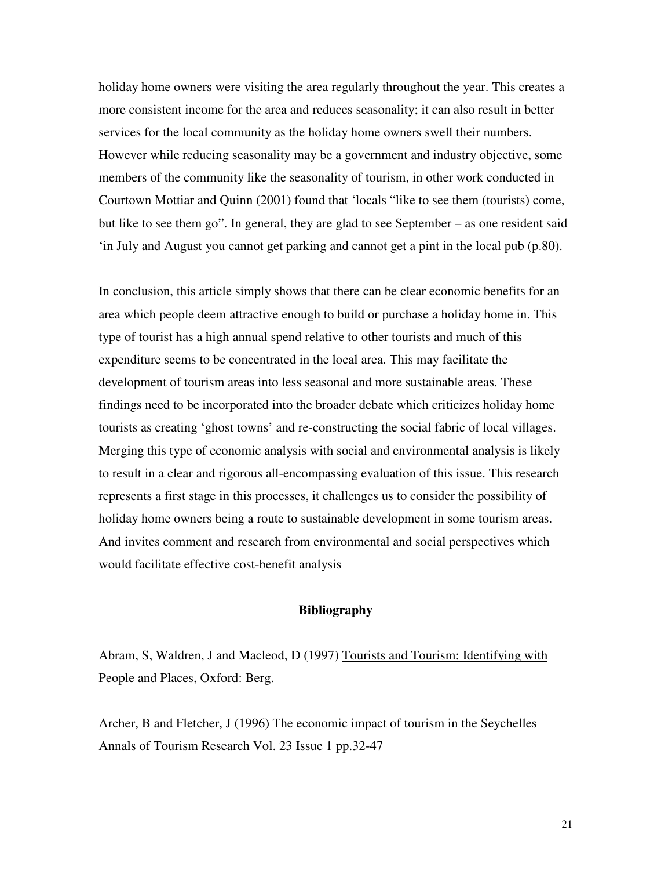holiday home owners were visiting the area regularly throughout the year. This creates a more consistent income for the area and reduces seasonality; it can also result in better services for the local community as the holiday home owners swell their numbers. However while reducing seasonality may be a government and industry objective, some members of the community like the seasonality of tourism, in other work conducted in Courtown Mottiar and Quinn (2001) found that 'locals "like to see them (tourists) come, but like to see them go". In general, they are glad to see September – as one resident said 'in July and August you cannot get parking and cannot get a pint in the local pub (p.80).

In conclusion, this article simply shows that there can be clear economic benefits for an area which people deem attractive enough to build or purchase a holiday home in. This type of tourist has a high annual spend relative to other tourists and much of this expenditure seems to be concentrated in the local area. This may facilitate the development of tourism areas into less seasonal and more sustainable areas. These findings need to be incorporated into the broader debate which criticizes holiday home tourists as creating 'ghost towns' and re-constructing the social fabric of local villages. Merging this type of economic analysis with social and environmental analysis is likely to result in a clear and rigorous all-encompassing evaluation of this issue. This research represents a first stage in this processes, it challenges us to consider the possibility of holiday home owners being a route to sustainable development in some tourism areas. And invites comment and research from environmental and social perspectives which would facilitate effective cost-benefit analysis

### **Bibliography**

Abram, S, Waldren, J and Macleod, D (1997) Tourists and Tourism: Identifying with People and Places, Oxford: Berg.

Archer, B and Fletcher, J (1996) The economic impact of tourism in the Seychelles Annals of Tourism Research Vol. 23 Issue 1 pp.32-47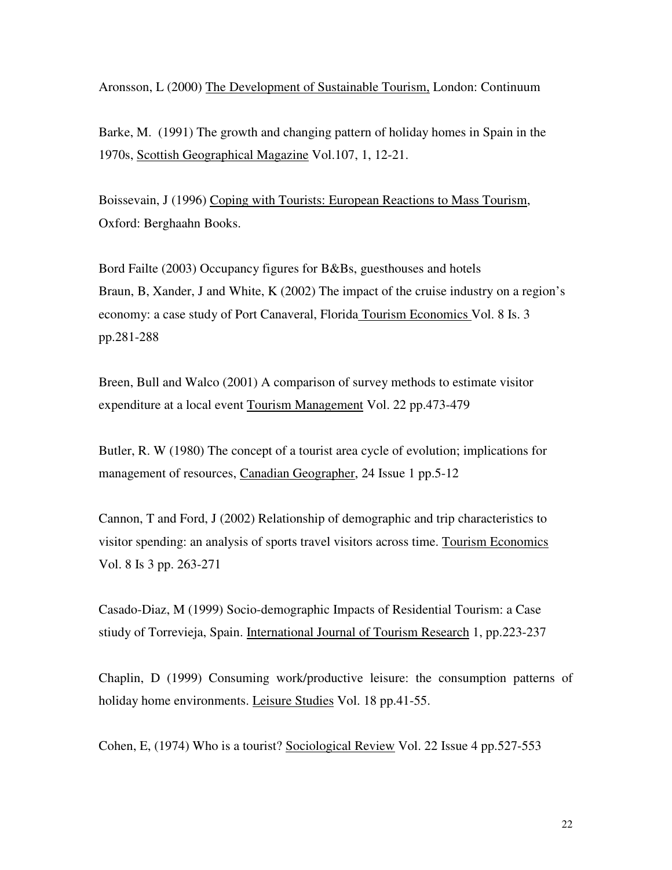Aronsson, L (2000) The Development of Sustainable Tourism, London: Continuum

Barke, M. (1991) The growth and changing pattern of holiday homes in Spain in the 1970s, Scottish Geographical Magazine Vol.107, 1, 12-21.

Boissevain, J (1996) Coping with Tourists: European Reactions to Mass Tourism, Oxford: Berghaahn Books.

Bord Failte (2003) Occupancy figures for B&Bs, guesthouses and hotels Braun, B, Xander, J and White, K (2002) The impact of the cruise industry on a region's economy: a case study of Port Canaveral, Florida Tourism Economics Vol. 8 Is. 3 pp.281-288

Breen, Bull and Walco (2001) A comparison of survey methods to estimate visitor expenditure at a local event Tourism Management Vol. 22 pp.473-479

Butler, R. W (1980) The concept of a tourist area cycle of evolution; implications for management of resources, Canadian Geographer, 24 Issue 1 pp.5-12

Cannon, T and Ford, J (2002) Relationship of demographic and trip characteristics to visitor spending: an analysis of sports travel visitors across time. Tourism Economics Vol. 8 Is 3 pp. 263-271

Casado-Diaz, M (1999) Socio-demographic Impacts of Residential Tourism: a Case stiudy of Torrevieja, Spain. International Journal of Tourism Research 1, pp.223-237

Chaplin, D (1999) Consuming work/productive leisure: the consumption patterns of holiday home environments. Leisure Studies Vol. 18 pp.41-55.

Cohen, E, (1974) Who is a tourist? Sociological Review Vol. 22 Issue 4 pp.527-553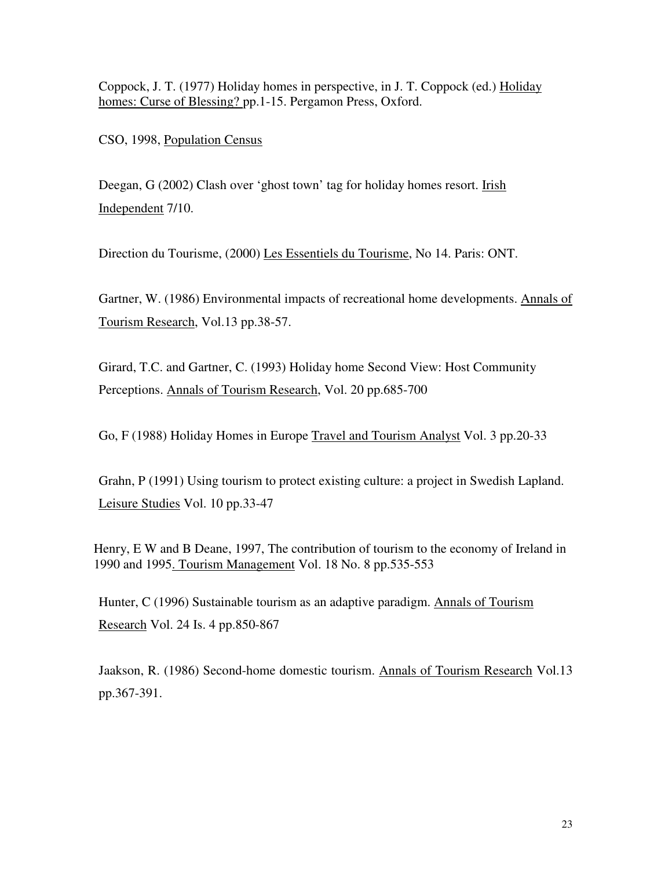Coppock, J. T. (1977) Holiday homes in perspective, in J. T. Coppock (ed.) Holiday homes: Curse of Blessing? pp.1-15. Pergamon Press, Oxford.

CSO, 1998, Population Census

Deegan, G (2002) Clash over 'ghost town' tag for holiday homes resort. Irish Independent 7/10.

Direction du Tourisme, (2000) Les Essentiels du Tourisme, No 14. Paris: ONT.

Gartner, W. (1986) Environmental impacts of recreational home developments. Annals of Tourism Research, Vol.13 pp.38-57.

Girard, T.C. and Gartner, C. (1993) Holiday home Second View: Host Community Perceptions. Annals of Tourism Research, Vol. 20 pp.685-700

Go, F (1988) Holiday Homes in Europe Travel and Tourism Analyst Vol. 3 pp.20-33

Grahn, P (1991) Using tourism to protect existing culture: a project in Swedish Lapland. Leisure Studies Vol. 10 pp.33-47

Henry, E W and B Deane, 1997, The contribution of tourism to the economy of Ireland in 1990 and 1995. Tourism Management Vol. 18 No. 8 pp.535-553

Hunter, C (1996) Sustainable tourism as an adaptive paradigm. Annals of Tourism Research Vol. 24 Is. 4 pp.850-867

Jaakson, R. (1986) Second-home domestic tourism. Annals of Tourism Research Vol.13 pp.367-391.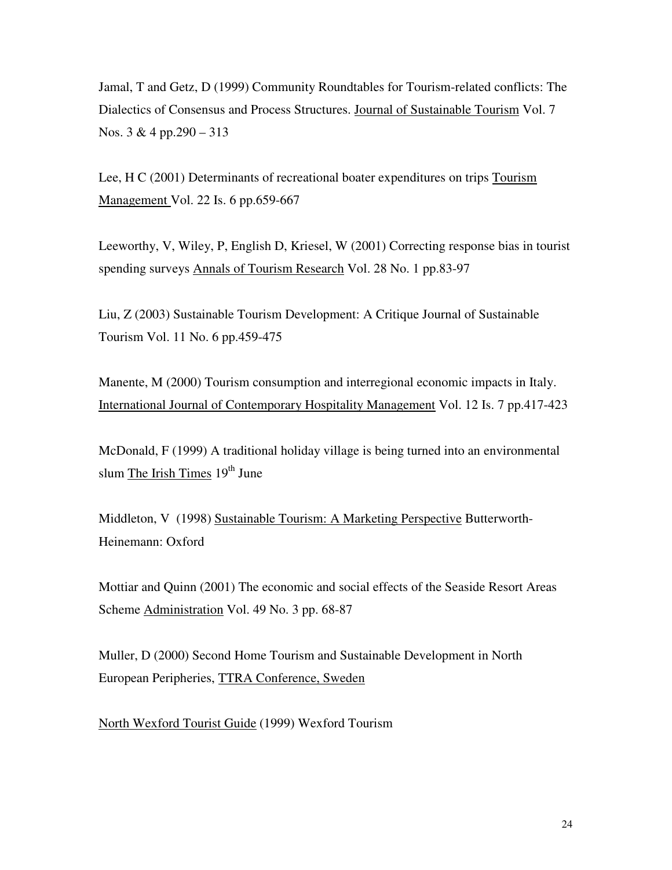Jamal, T and Getz, D (1999) Community Roundtables for Tourism-related conflicts: The Dialectics of Consensus and Process Structures. Journal of Sustainable Tourism Vol. 7 Nos. 3 & 4 pp.290 – 313

Lee, H C (2001) Determinants of recreational boater expenditures on trips Tourism Management Vol. 22 Is. 6 pp.659-667

Leeworthy, V, Wiley, P, English D, Kriesel, W (2001) Correcting response bias in tourist spending surveys Annals of Tourism Research Vol. 28 No. 1 pp.83-97

Liu, Z (2003) Sustainable Tourism Development: A Critique Journal of Sustainable Tourism Vol. 11 No. 6 pp.459-475

Manente, M (2000) Tourism consumption and interregional economic impacts in Italy. International Journal of Contemporary Hospitality Management Vol. 12 Is. 7 pp.417-423

McDonald, F (1999) A traditional holiday village is being turned into an environmental slum The Irish Times 19<sup>th</sup> June

Middleton, V (1998) Sustainable Tourism: A Marketing Perspective Butterworth-Heinemann: Oxford

Mottiar and Quinn (2001) The economic and social effects of the Seaside Resort Areas Scheme Administration Vol. 49 No. 3 pp. 68-87

Muller, D (2000) Second Home Tourism and Sustainable Development in North European Peripheries, TTRA Conference, Sweden

North Wexford Tourist Guide (1999) Wexford Tourism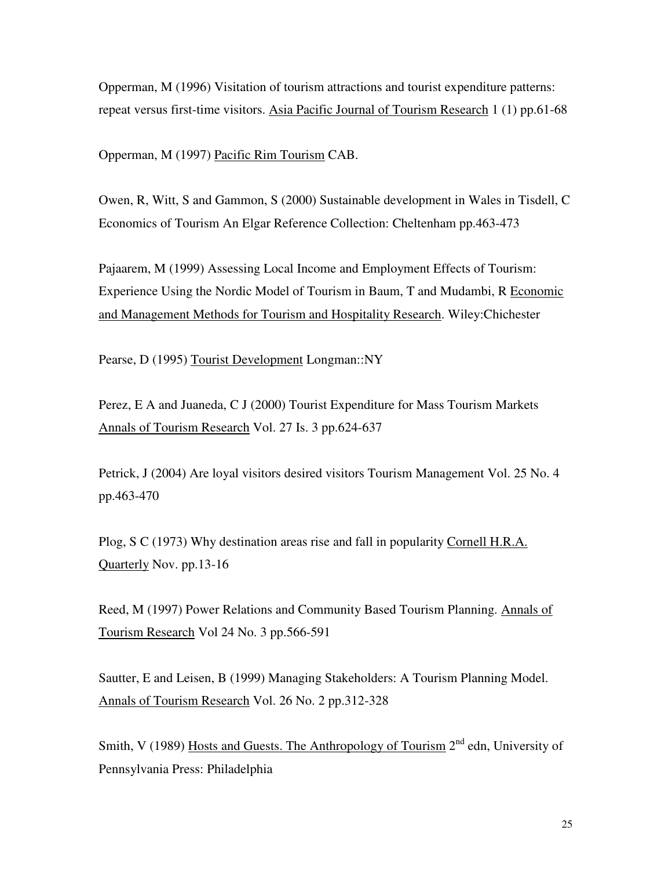Opperman, M (1996) Visitation of tourism attractions and tourist expenditure patterns: repeat versus first-time visitors. Asia Pacific Journal of Tourism Research 1 (1) pp.61-68

Opperman, M (1997) Pacific Rim Tourism CAB.

Owen, R, Witt, S and Gammon, S (2000) Sustainable development in Wales in Tisdell, C Economics of Tourism An Elgar Reference Collection: Cheltenham pp.463-473

Pajaarem, M (1999) Assessing Local Income and Employment Effects of Tourism: Experience Using the Nordic Model of Tourism in Baum, T and Mudambi, R Economic and Management Methods for Tourism and Hospitality Research. Wiley:Chichester

Pearse, D (1995) Tourist Development Longman::NY

Perez, E A and Juaneda, C J (2000) Tourist Expenditure for Mass Tourism Markets Annals of Tourism Research Vol. 27 Is. 3 pp.624-637

Petrick, J (2004) Are loyal visitors desired visitors Tourism Management Vol. 25 No. 4 pp.463-470

Plog, S C (1973) Why destination areas rise and fall in popularity Cornell H.R.A. Quarterly Nov. pp.13-16

Reed, M (1997) Power Relations and Community Based Tourism Planning. Annals of Tourism Research Vol 24 No. 3 pp.566-591

Sautter, E and Leisen, B (1999) Managing Stakeholders: A Tourism Planning Model. Annals of Tourism Research Vol. 26 No. 2 pp.312-328

Smith, V (1989) Hosts and Guests. The Anthropology of Tourism  $2<sup>nd</sup>$  edn, University of Pennsylvania Press: Philadelphia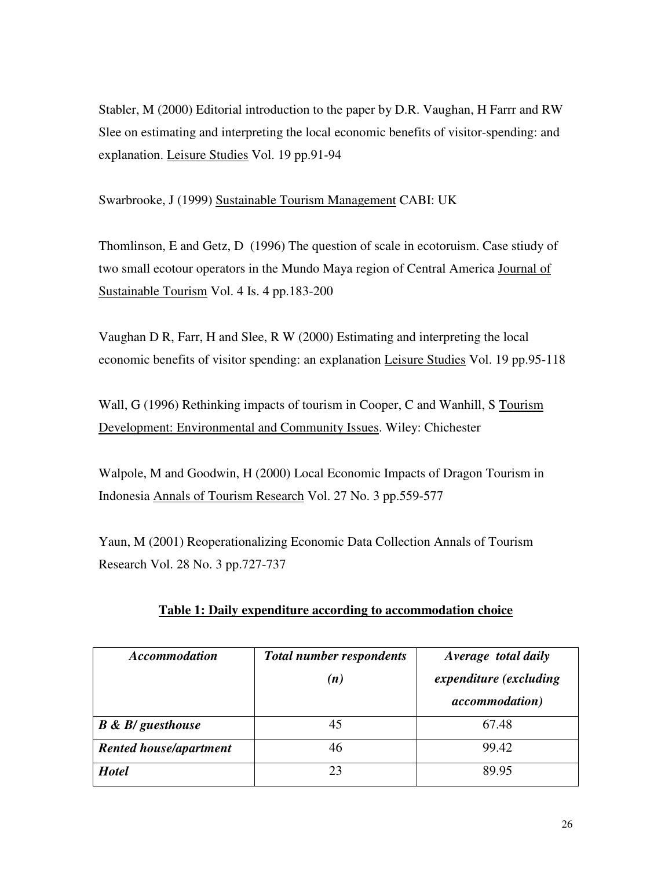Stabler, M (2000) Editorial introduction to the paper by D.R. Vaughan, H Farrr and RW Slee on estimating and interpreting the local economic benefits of visitor-spending: and explanation. Leisure Studies Vol. 19 pp.91-94

Swarbrooke, J (1999) Sustainable Tourism Management CABI: UK

Thomlinson, E and Getz, D (1996) The question of scale in ecotoruism. Case stiudy of two small ecotour operators in the Mundo Maya region of Central America Journal of Sustainable Tourism Vol. 4 Is. 4 pp.183-200

Vaughan D R, Farr, H and Slee, R W (2000) Estimating and interpreting the local economic benefits of visitor spending: an explanation Leisure Studies Vol. 19 pp.95-118

Wall, G (1996) Rethinking impacts of tourism in Cooper, C and Wanhill, S Tourism Development: Environmental and Community Issues. Wiley: Chichester

Walpole, M and Goodwin, H (2000) Local Economic Impacts of Dragon Tourism in Indonesia Annals of Tourism Research Vol. 27 No. 3 pp.559-577

Yaun, M (2001) Reoperationalizing Economic Data Collection Annals of Tourism Research Vol. 28 No. 3 pp.727-737

| <b>Accommodation</b>             | <b>Total number respondents</b><br>(n) | Average total daily<br>expenditure (excluding<br><i>accommodation</i> ) |
|----------------------------------|----------------------------------------|-------------------------------------------------------------------------|
| <b>B</b> & <b>B</b> / guesthouse |                                        | 67.48                                                                   |
| <b>Rented house/apartment</b>    | 46                                     | 99.42                                                                   |
| <b>Hotel</b>                     | 23                                     | 89.95                                                                   |

### **Table 1: Daily expenditure according to accommodation choice**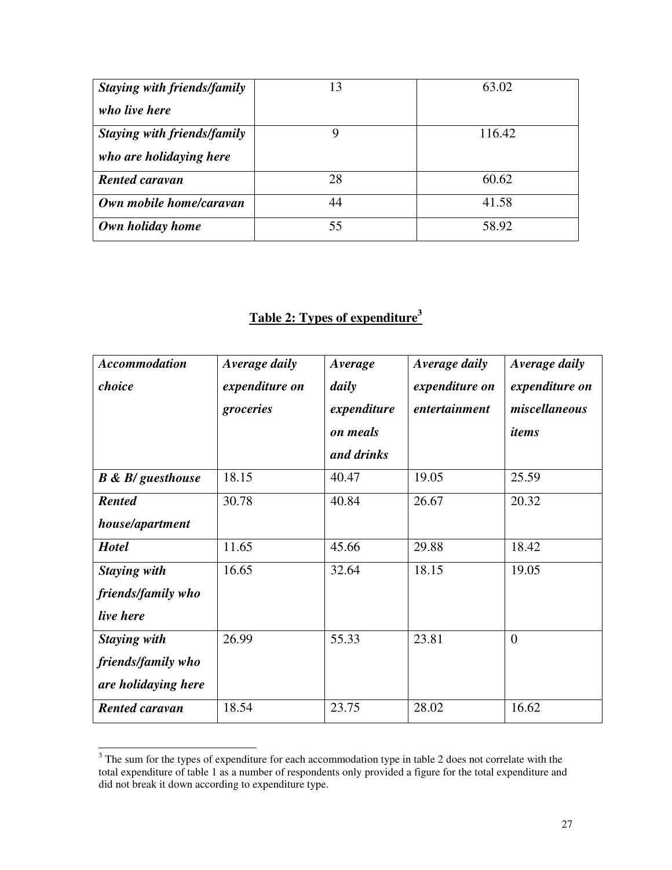| Staying with friends/family | 13 | 63.02  |
|-----------------------------|----|--------|
| who live here               |    |        |
| Staying with friends/family |    | 116.42 |
| who are holidaying here     |    |        |
| <b>Rented caravan</b>       | 28 | 60.62  |
| Own mobile home/caravan     | 44 | 41.58  |
| Own holiday home            | 55 | 58.92  |

## **Table 2: Types of expenditure<sup>3</sup>**

| <b>Accommodation</b><br>choice                                   | Average daily<br>expenditure on<br>groceries | Average<br>daily<br>expenditure<br>on meals<br>and drinks | Average daily<br>expenditure on<br>entertainment | Average daily<br>expenditure on<br>miscellaneous<br>items |
|------------------------------------------------------------------|----------------------------------------------|-----------------------------------------------------------|--------------------------------------------------|-----------------------------------------------------------|
| $B \& B$ / guesthouse                                            | 18.15                                        | 40.47                                                     | 19.05                                            | 25.59                                                     |
| <b>Rented</b><br>house/apartment                                 | 30.78                                        | 40.84                                                     | 26.67                                            | 20.32                                                     |
| <b>Hotel</b>                                                     | 11.65                                        | 45.66                                                     | 29.88                                            | 18.42                                                     |
| <b>Staying with</b><br>friends/family who<br>live here           | 16.65                                        | 32.64                                                     | 18.15                                            | 19.05                                                     |
| <b>Staying with</b><br>friends/family who<br>are holidaying here | 26.99                                        | 55.33                                                     | 23.81                                            | $\Omega$                                                  |
| <b>Rented caravan</b>                                            | 18.54                                        | 23.75                                                     | 28.02                                            | 16.62                                                     |

<sup>&</sup>lt;sup>3</sup> The sum for the types of expenditure for each accommodation type in table 2 does not correlate with the total expenditure of table 1 as a number of respondents only provided a figure for the total expenditure and did not break it down according to expenditure type.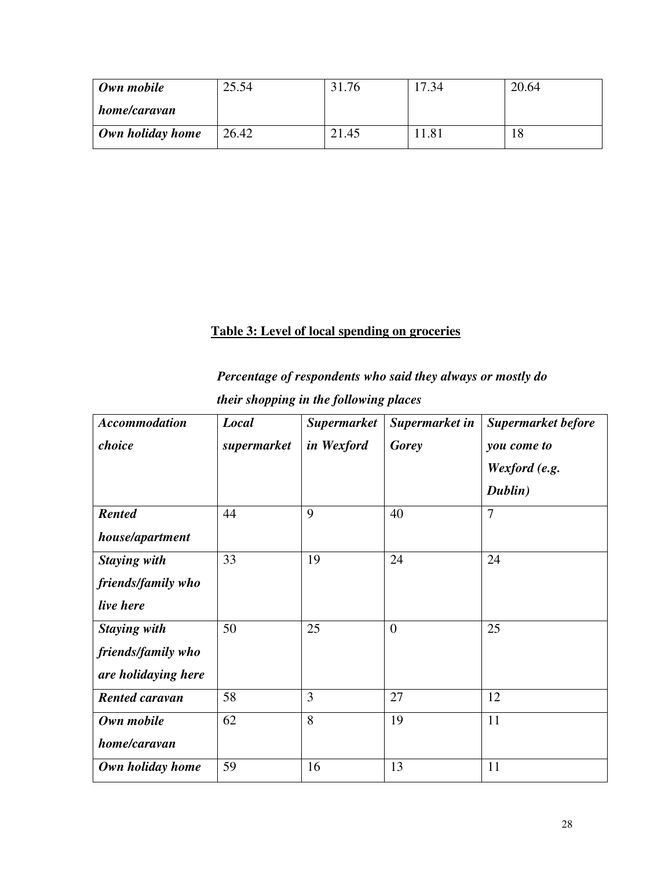| Own mobile       | 25.54 | 31.76 | 17.34 | 20.64 |
|------------------|-------|-------|-------|-------|
| home/caravan     |       |       |       |       |
| Own holiday home | 26.42 | 21.45 | 11.81 | 18    |

## **Table 3: Level of local spending on groceries**

*Percentage of respondents who said they always or mostly do their shopping in the following places* 

| <b>Accommodation</b>  | Local       | <b>Supermarket</b> | Supermarket in | <b>Supermarket before</b> |
|-----------------------|-------------|--------------------|----------------|---------------------------|
| choice                | supermarket | in Wexford         | <b>Gorey</b>   | you come to               |
|                       |             |                    |                | Wexford (e.g.             |
|                       |             |                    |                | Dublin)                   |
| <b>Rented</b>         | 44          | 9                  | 40             | $\overline{7}$            |
| house/apartment       |             |                    |                |                           |
| <b>Staying with</b>   | 33          | 19                 | 24             | 24                        |
| friends/family who    |             |                    |                |                           |
| live here             |             |                    |                |                           |
| <b>Staying with</b>   | 50          | 25                 | $\overline{0}$ | 25                        |
| friends/family who    |             |                    |                |                           |
| are holidaying here   |             |                    |                |                           |
| <b>Rented caravan</b> | 58          | 3                  | 27             | 12                        |
| Own mobile            | 62          | 8                  | 19             | 11                        |
| home/caravan          |             |                    |                |                           |
| Own holiday home      | 59          | 16                 | 13             | 11                        |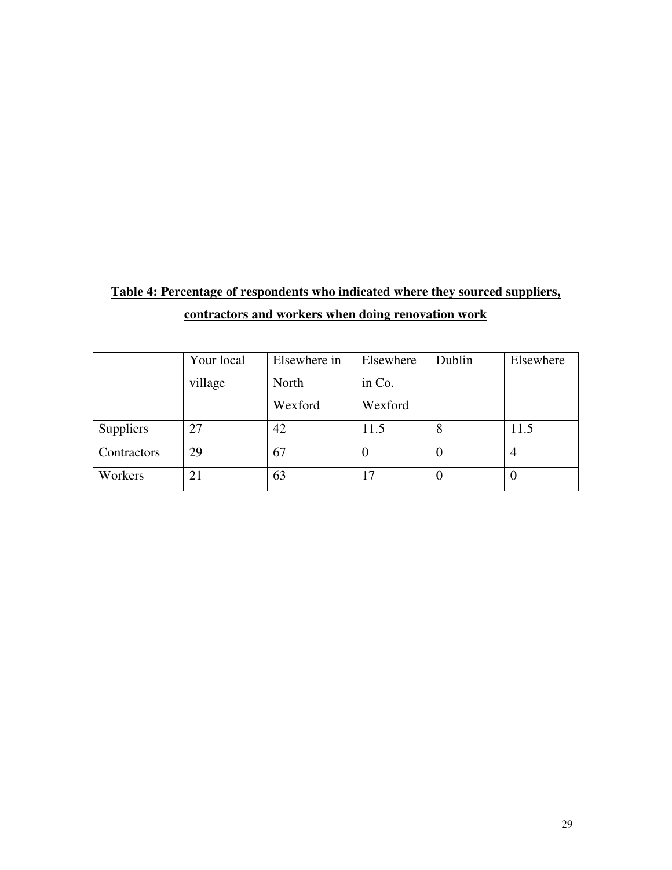## **Table 4: Percentage of respondents who indicated where they sourced suppliers, contractors and workers when doing renovation work**

|                  | Your local | Elsewhere in | Elsewhere | Dublin   | Elsewhere |
|------------------|------------|--------------|-----------|----------|-----------|
|                  | village    | North        | in Co.    |          |           |
|                  |            | Wexford      | Wexford   |          |           |
| <b>Suppliers</b> | 27         | 42           | 11.5      | 8        | 11.5      |
| Contractors      | 29         | 67           | $\theta$  | $\theta$ | 4         |
| Workers          | 21         | 63           | 17        | $\theta$ |           |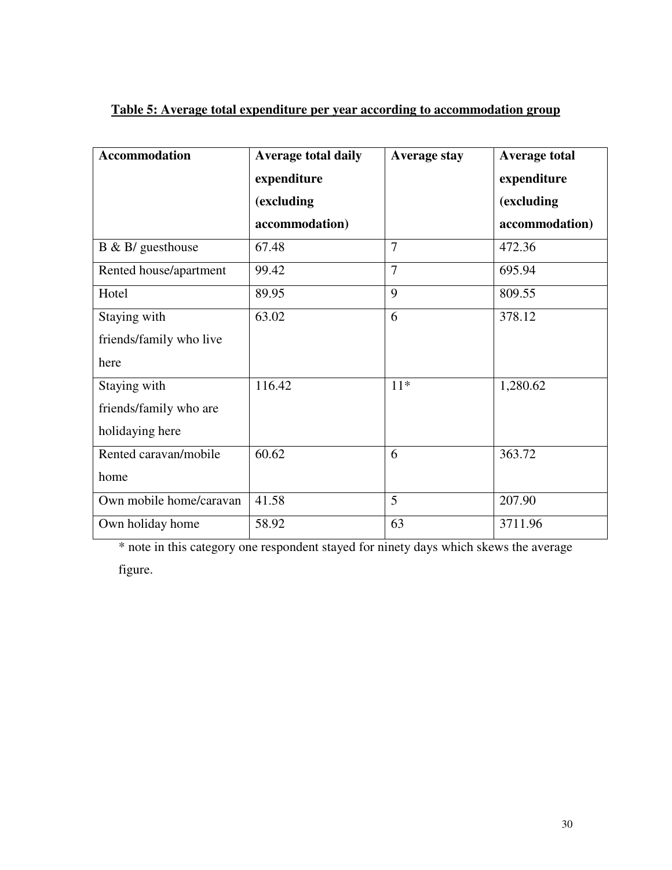| <b>Accommodation</b>    | <b>Average total daily</b> | <b>Average stay</b> | <b>Average total</b> |
|-------------------------|----------------------------|---------------------|----------------------|
|                         | expenditure                |                     | expenditure          |
|                         | (excluding                 |                     | (excluding           |
|                         | accommodation)             |                     | accommodation)       |
| $B \& B$ / guesthouse   | 67.48                      | $\overline{7}$      | 472.36               |
| Rented house/apartment  | 99.42                      | $\overline{7}$      | 695.94               |
| Hotel                   | 89.95                      | 9                   | 809.55               |
| Staying with            | 63.02                      | 6                   | 378.12               |
| friends/family who live |                            |                     |                      |
| here                    |                            |                     |                      |
| Staying with            | 116.42                     | $11*$               | 1,280.62             |
| friends/family who are  |                            |                     |                      |
| holidaying here         |                            |                     |                      |
| Rented caravan/mobile   | 60.62                      | 6                   | 363.72               |
| home                    |                            |                     |                      |
| Own mobile home/caravan | 41.58                      | 5                   | 207.90               |
| Own holiday home        | 58.92                      | 63                  | 3711.96              |

### **Table 5: Average total expenditure per year according to accommodation group**

\* note in this category one respondent stayed for ninety days which skews the average

figure.